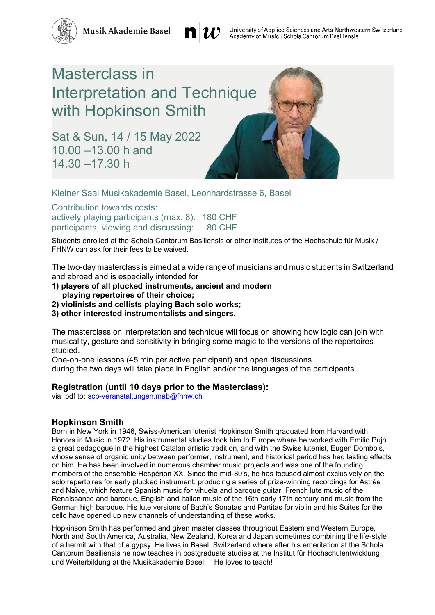**Musik Akademie Basel** 



## Masterclass in Interpretation and Technique with Hopkinson Smith

Sat & Sun, 14 / 15 May 2022 10.00 –13.00 h and 14.30 –17.30 h

Kleiner Saal Musikakademie Basel, Leonhardstrasse 6, Basel

Contribution towards costs:

actively playing participants (max. 8): 180 CHF participants, viewing and discussing: 80 CHF

Students enrolled at the Schola Cantorum Basiliensis or other institutes of the Hochschule für Musik / FHNW can ask for their fees to be waived.

The two-day masterclass is aimed at a wide range of musicians and music students in Switzerland and abroad and is especially intended for

- **1) players of all plucked instruments, ancient and modern playing repertoires of their choice;**
- **2) violinists and cellists playing Bach solo works;**
- **3) other interested instrumentalists and singers.**

The masterclass on interpretation and technique will focus on showing how logic can join with musicality, gesture and sensitivity in bringing some magic to the versions of the repertoires studied.

One-on-one lessons (45 min per active participant) and open discussions during the two days will take place in English and/or the languages of the participants.

## **Registration (until 10 days prior to the Masterclass):**

via .pdf to: [scb-veranstaltungen.mab@fhnw.ch](mailto:scb-veranstaltungen.mab@fhnw.ch)

## **Hopkinson Smith**

Born in New York in 1946, Swiss-American lutenist Hopkinson Smith graduated from Harvard with Honors in Music in 1972. His instrumental studies took him to Europe where he worked with Emilio Pujol, a great pedagogue in the highest Catalan artistic tradition, and with the Swiss lutenist, Eugen Dombois, whose sense of organic unity between performer, instrument, and historical period has had lasting effects on him. He has been involved in numerous chamber music projects and was one of the founding members of the ensemble Hespèrion XX. Since the mid-80's, he has focused almost exclusively on the solo repertoires for early plucked instrument, producing a series of prize-winning recordings for Astrée and Naïve, which feature Spanish music for vihuela and baroque guitar, French lute music of the Renaissance and baroque, English and Italian music of the 16th early 17th century and music from the German high baroque. His lute versions of Bach's Sonatas and Partitas for violin and his Suites for the cello have opened up new channels of understanding of these works.

Hopkinson Smith has performed and given master classes throughout Eastern and Western Europe, North and South America, Australia, New Zealand, Korea and Japan sometimes combining the life-style of a hermit with that of a gypsy. He lives in Basel, Switzerland where after his emeritation at the Schola Cantorum Basiliensis he now teaches in postgraduate studies at the Institut für Hochschulentwicklung und Weiterbildung at the Musikakademie Basel. – He loves to teach!